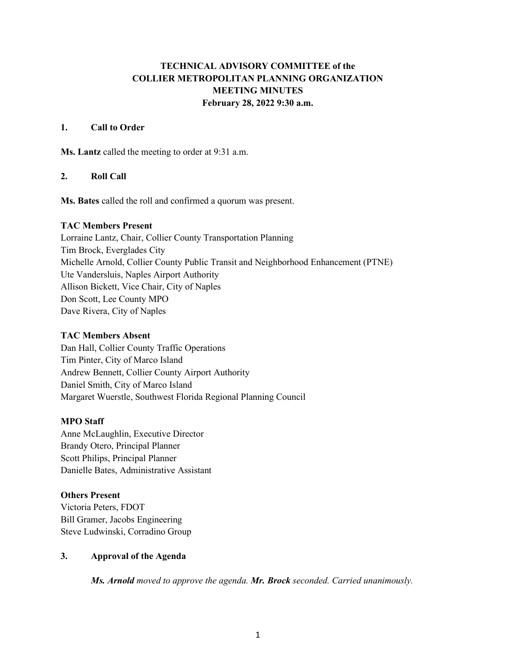# **TECHNICAL ADVISORY COMMITTEE of the COLLIER METROPOLITAN PLANNING ORGANIZATION MEETING MINUTES February 28, 2022 9:30 a.m.**

# **1. Call to Order**

**Ms. Lantz** called the meeting to order at 9:31 a.m.

# **2. Roll Call**

**Ms. Bates** called the roll and confirmed a quorum was present.

### **TAC Members Present**

Lorraine Lantz, Chair, Collier County Transportation Planning Tim Brock, Everglades City Michelle Arnold, Collier County Public Transit and Neighborhood Enhancement (PTNE) Ute Vandersluis, Naples Airport Authority Allison Bickett, Vice Chair, City of Naples Don Scott, Lee County MPO Dave Rivera, City of Naples

# **TAC Members Absent**

Dan Hall, Collier County Traffic Operations Tim Pinter, City of Marco Island Andrew Bennett, Collier County Airport Authority Daniel Smith, City of Marco Island Margaret Wuerstle, Southwest Florida Regional Planning Council

# **MPO Staff**

Anne McLaughlin, Executive Director Brandy Otero, Principal Planner Scott Philips, Principal Planner Danielle Bates, Administrative Assistant

### **Others Present**

Victoria Peters, FDOT Bill Gramer, Jacobs Engineering Steve Ludwinski, Corradino Group

# **3. Approval of the Agenda**

*Ms. Arnold moved to approve the agenda. Mr. Brock seconded. Carried unanimously.*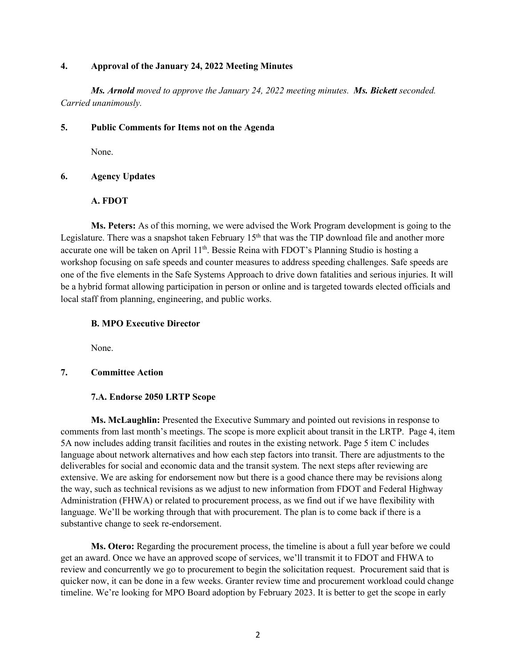### **4. Approval of the January 24, 2022 Meeting Minutes**

*Ms. Arnold moved to approve the January 24, 2022 meeting minutes. Ms. Bickett seconded. Carried unanimously.*

### **5. Public Comments for Items not on the Agenda**

None.

# **6. Agency Updates**

# **A. FDOT**

**Ms. Peters:** As of this morning, we were advised the Work Program development is going to the Legislature. There was a snapshot taken February  $15<sup>th</sup>$  that was the TIP download file and another more accurate one will be taken on April 11<sup>th</sup>. Bessie Reina with FDOT's Planning Studio is hosting a workshop focusing on safe speeds and counter measures to address speeding challenges. Safe speeds are one of the five elements in the Safe Systems Approach to drive down fatalities and serious injuries. It will be a hybrid format allowing participation in person or online and is targeted towards elected officials and local staff from planning, engineering, and public works.

#### **B. MPO Executive Director**

None.

# **7. Committee Action**

### **7.A. Endorse 2050 LRTP Scope**

**Ms. McLaughlin:** Presented the Executive Summary and pointed out revisions in response to comments from last month's meetings. The scope is more explicit about transit in the LRTP. Page 4, item 5A now includes adding transit facilities and routes in the existing network. Page 5 item C includes language about network alternatives and how each step factors into transit. There are adjustments to the deliverables for social and economic data and the transit system. The next steps after reviewing are extensive. We are asking for endorsement now but there is a good chance there may be revisions along the way, such as technical revisions as we adjust to new information from FDOT and Federal Highway Administration (FHWA) or related to procurement process, as we find out if we have flexibility with language. We'll be working through that with procurement. The plan is to come back if there is a substantive change to seek re-endorsement.

**Ms. Otero:** Regarding the procurement process, the timeline is about a full year before we could get an award. Once we have an approved scope of services, we'll transmit it to FDOT and FHWA to review and concurrently we go to procurement to begin the solicitation request. Procurement said that is quicker now, it can be done in a few weeks. Granter review time and procurement workload could change timeline. We're looking for MPO Board adoption by February 2023. It is better to get the scope in early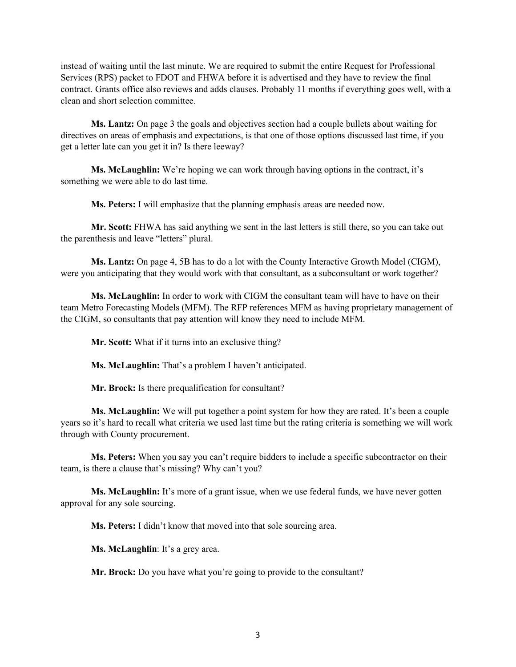instead of waiting until the last minute. We are required to submit the entire Request for Professional Services (RPS) packet to FDOT and FHWA before it is advertised and they have to review the final contract. Grants office also reviews and adds clauses. Probably 11 months if everything goes well, with a clean and short selection committee.

**Ms. Lantz:** On page 3 the goals and objectives section had a couple bullets about waiting for directives on areas of emphasis and expectations, is that one of those options discussed last time, if you get a letter late can you get it in? Is there leeway?

**Ms. McLaughlin:** We're hoping we can work through having options in the contract, it's something we were able to do last time.

**Ms. Peters:** I will emphasize that the planning emphasis areas are needed now.

**Mr. Scott:** FHWA has said anything we sent in the last letters is still there, so you can take out the parenthesis and leave "letters" plural.

**Ms. Lantz:** On page 4, 5B has to do a lot with the County Interactive Growth Model (CIGM), were you anticipating that they would work with that consultant, as a subconsultant or work together?

**Ms. McLaughlin:** In order to work with CIGM the consultant team will have to have on their team Metro Forecasting Models (MFM). The RFP references MFM as having proprietary management of the CIGM, so consultants that pay attention will know they need to include MFM.

**Mr. Scott:** What if it turns into an exclusive thing?

**Ms. McLaughlin:** That's a problem I haven't anticipated.

**Mr. Brock:** Is there prequalification for consultant?

**Ms. McLaughlin:** We will put together a point system for how they are rated. It's been a couple years so it's hard to recall what criteria we used last time but the rating criteria is something we will work through with County procurement.

**Ms. Peters:** When you say you can't require bidders to include a specific subcontractor on their team, is there a clause that's missing? Why can't you?

**Ms. McLaughlin:** It's more of a grant issue, when we use federal funds, we have never gotten approval for any sole sourcing.

**Ms. Peters:** I didn't know that moved into that sole sourcing area.

**Ms. McLaughlin**: It's a grey area.

**Mr. Brock:** Do you have what you're going to provide to the consultant?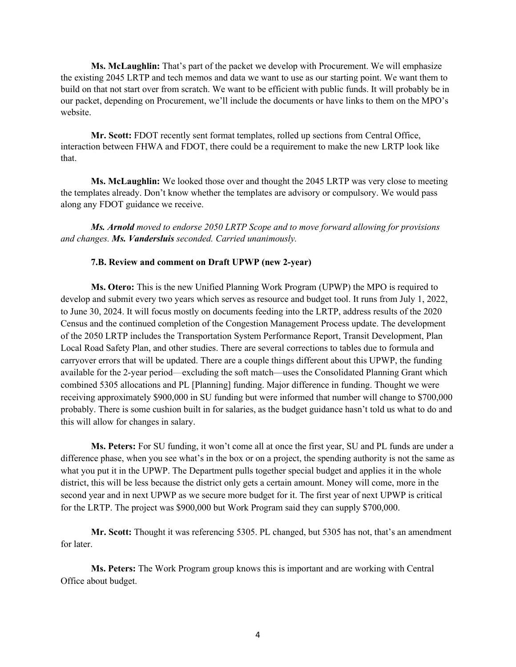**Ms. McLaughlin:** That's part of the packet we develop with Procurement. We will emphasize the existing 2045 LRTP and tech memos and data we want to use as our starting point. We want them to build on that not start over from scratch. We want to be efficient with public funds. It will probably be in our packet, depending on Procurement, we'll include the documents or have links to them on the MPO's website.

**Mr. Scott:** FDOT recently sent format templates, rolled up sections from Central Office, interaction between FHWA and FDOT, there could be a requirement to make the new LRTP look like that.

**Ms. McLaughlin:** We looked those over and thought the 2045 LRTP was very close to meeting the templates already. Don't know whether the templates are advisory or compulsory. We would pass along any FDOT guidance we receive.

*Ms. Arnold moved to endorse 2050 LRTP Scope and to move forward allowing for provisions and changes. Ms. Vandersluis seconded. Carried unanimously.*

#### **7.B. Review and comment on Draft UPWP (new 2-year)**

**Ms. Otero:** This is the new Unified Planning Work Program (UPWP) the MPO is required to develop and submit every two years which serves as resource and budget tool. It runs from July 1, 2022, to June 30, 2024. It will focus mostly on documents feeding into the LRTP, address results of the 2020 Census and the continued completion of the Congestion Management Process update. The development of the 2050 LRTP includes the Transportation System Performance Report, Transit Development, Plan Local Road Safety Plan, and other studies. There are several corrections to tables due to formula and carryover errors that will be updated. There are a couple things different about this UPWP, the funding available for the 2-year period—excluding the soft match—uses the Consolidated Planning Grant which combined 5305 allocations and PL [Planning] funding. Major difference in funding. Thought we were receiving approximately \$900,000 in SU funding but were informed that number will change to \$700,000 probably. There is some cushion built in for salaries, as the budget guidance hasn't told us what to do and this will allow for changes in salary.

**Ms. Peters:** For SU funding, it won't come all at once the first year, SU and PL funds are under a difference phase, when you see what's in the box or on a project, the spending authority is not the same as what you put it in the UPWP. The Department pulls together special budget and applies it in the whole district, this will be less because the district only gets a certain amount. Money will come, more in the second year and in next UPWP as we secure more budget for it. The first year of next UPWP is critical for the LRTP. The project was \$900,000 but Work Program said they can supply \$700,000.

**Mr. Scott:** Thought it was referencing 5305. PL changed, but 5305 has not, that's an amendment for later.

**Ms. Peters:** The Work Program group knows this is important and are working with Central Office about budget.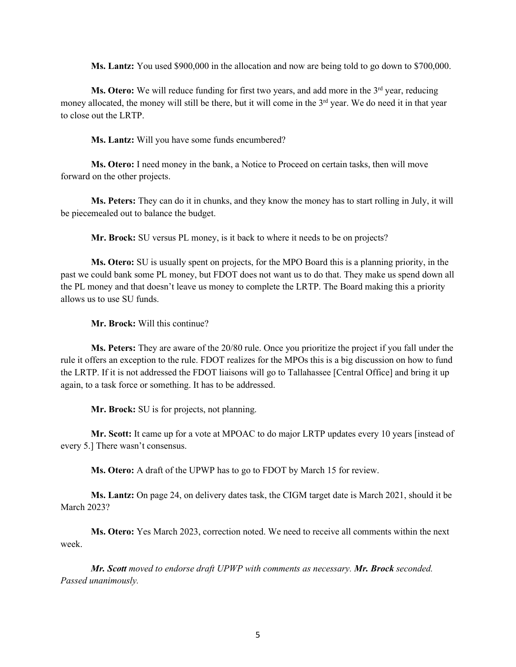**Ms. Lantz:** You used \$900,000 in the allocation and now are being told to go down to \$700,000.

**Ms. Otero:** We will reduce funding for first two years, and add more in the 3<sup>rd</sup> year, reducing money allocated, the money will still be there, but it will come in the  $3<sup>rd</sup>$  year. We do need it in that year to close out the LRTP.

**Ms. Lantz:** Will you have some funds encumbered?

**Ms. Otero:** I need money in the bank, a Notice to Proceed on certain tasks, then will move forward on the other projects.

**Ms. Peters:** They can do it in chunks, and they know the money has to start rolling in July, it will be piecemealed out to balance the budget.

**Mr. Brock:** SU versus PL money, is it back to where it needs to be on projects?

**Ms. Otero:** SU is usually spent on projects, for the MPO Board this is a planning priority, in the past we could bank some PL money, but FDOT does not want us to do that. They make us spend down all the PL money and that doesn't leave us money to complete the LRTP. The Board making this a priority allows us to use SU funds.

**Mr. Brock:** Will this continue?

**Ms. Peters:** They are aware of the 20/80 rule. Once you prioritize the project if you fall under the rule it offers an exception to the rule. FDOT realizes for the MPOs this is a big discussion on how to fund the LRTP. If it is not addressed the FDOT liaisons will go to Tallahassee [Central Office] and bring it up again, to a task force or something. It has to be addressed.

**Mr. Brock:** SU is for projects, not planning.

**Mr. Scott:** It came up for a vote at MPOAC to do major LRTP updates every 10 years [instead of every 5.] There wasn't consensus.

**Ms. Otero:** A draft of the UPWP has to go to FDOT by March 15 for review.

**Ms. Lantz:** On page 24, on delivery dates task, the CIGM target date is March 2021, should it be March 2023?

**Ms. Otero:** Yes March 2023, correction noted. We need to receive all comments within the next week.

*Mr. Scott moved to endorse draft UPWP with comments as necessary. Mr. Brock seconded. Passed unanimously.*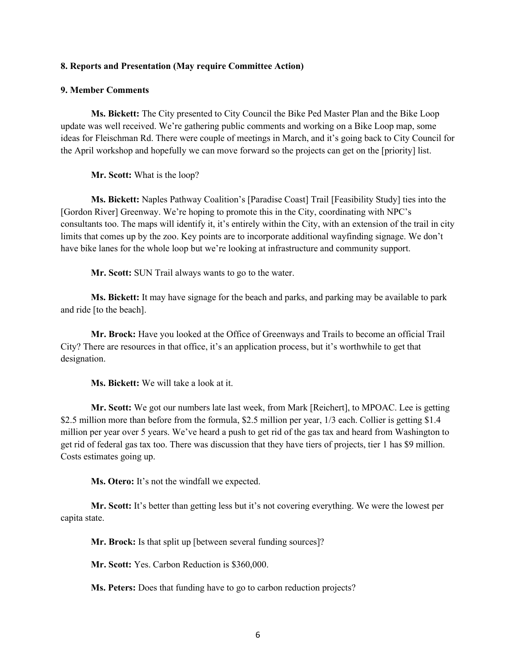#### **8. Reports and Presentation (May require Committee Action)**

### **9. Member Comments**

**Ms. Bickett:** The City presented to City Council the Bike Ped Master Plan and the Bike Loop update was well received. We're gathering public comments and working on a Bike Loop map, some ideas for Fleischman Rd. There were couple of meetings in March, and it's going back to City Council for the April workshop and hopefully we can move forward so the projects can get on the [priority] list.

**Mr. Scott:** What is the loop?

**Ms. Bickett:** Naples Pathway Coalition's [Paradise Coast] Trail [Feasibility Study] ties into the [Gordon River] Greenway. We're hoping to promote this in the City, coordinating with NPC's consultants too. The maps will identify it, it's entirely within the City, with an extension of the trail in city limits that comes up by the zoo. Key points are to incorporate additional wayfinding signage. We don't have bike lanes for the whole loop but we're looking at infrastructure and community support.

**Mr. Scott:** SUN Trail always wants to go to the water.

**Ms. Bickett:** It may have signage for the beach and parks, and parking may be available to park and ride [to the beach].

**Mr. Brock:** Have you looked at the Office of Greenways and Trails to become an official Trail City? There are resources in that office, it's an application process, but it's worthwhile to get that designation.

**Ms. Bickett:** We will take a look at it.

**Mr. Scott:** We got our numbers late last week, from Mark [Reichert], to MPOAC. Lee is getting \$2.5 million more than before from the formula, \$2.5 million per year,  $1/3$  each. Collier is getting \$1.4 million per year over 5 years. We've heard a push to get rid of the gas tax and heard from Washington to get rid of federal gas tax too. There was discussion that they have tiers of projects, tier 1 has \$9 million. Costs estimates going up.

**Ms. Otero:** It's not the windfall we expected.

**Mr. Scott:** It's better than getting less but it's not covering everything. We were the lowest per capita state.

**Mr. Brock:** Is that split up [between several funding sources]?

**Mr. Scott:** Yes. Carbon Reduction is \$360,000.

**Ms. Peters:** Does that funding have to go to carbon reduction projects?